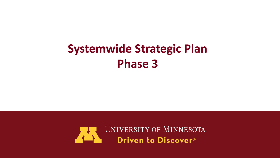## **Systemwide Strategic Plan Phase 3**

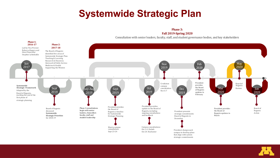#### **Systemwide Strategic Plan**

Phase 3: **Fall 2019-Spring 2020**

Consultation with senior leaders, faculty, staff, and student governance bodies, and key stakeholders



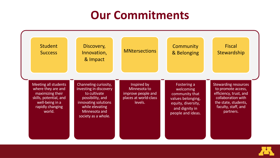#### **Our Commitments**



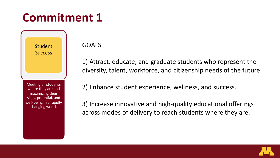**Student Success** 

Meeting all students where they are and maximizing their skills, potential, and well-being in a rapidly changing world.

GOALS

1) Attract, educate, and graduate students who represent the diversity, talent, workforce, and citizenship needs of the future.

2) Enhance student experience, wellness, and success.

3) Increase innovative and high-quality educational offerings across modes of delivery to reach students where they are.

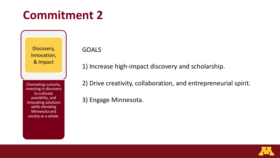Discovery, Innovation, & Impact

Channeling curiosity, investing in discovery to cultivate possibility, and innovating solutions while elevating Minnesota and society as a whole.

GOALS

- 1) Increase high-impact discovery and scholarship.
- 2) Drive creativity, collaboration, and entrepreneurial spirit.
- 3) Engage Minnesota.

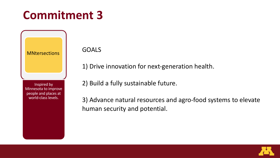Inspired by Minnesota to improve

**MNtersections** 

people and places at world-class levels.

GOALS

1) Drive innovation for next-generation health.

2) Build a fully sustainable future.

3) Advance natural resources and agro-food systems to elevate human security and potential.

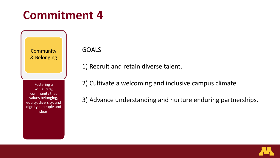**Community** & Belonging

Fostering a welcoming community that values belonging, equity, diversity, and dignity in people and ideas.

GOALS

- 1) Recruit and retain diverse talent.
- 2) Cultivate a welcoming and inclusive campus climate.
- 3) Advance understanding and nurture enduring partnerships.

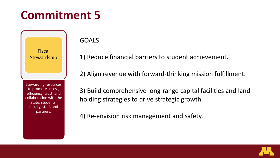#### Fiscal **Stewardship**

Stewarding resources to promote access, efficiency, trust, and collaboration with the state, students, faculty, staff, and partners.

GOALS

1) Reduce financial barriers to student achievement.

2) Align revenue with forward-thinking mission fulfillment.

3) Build comprehensive long-range capital facilities and landholding strategies to drive strategic growth.

4) Re-envision risk management and safety.